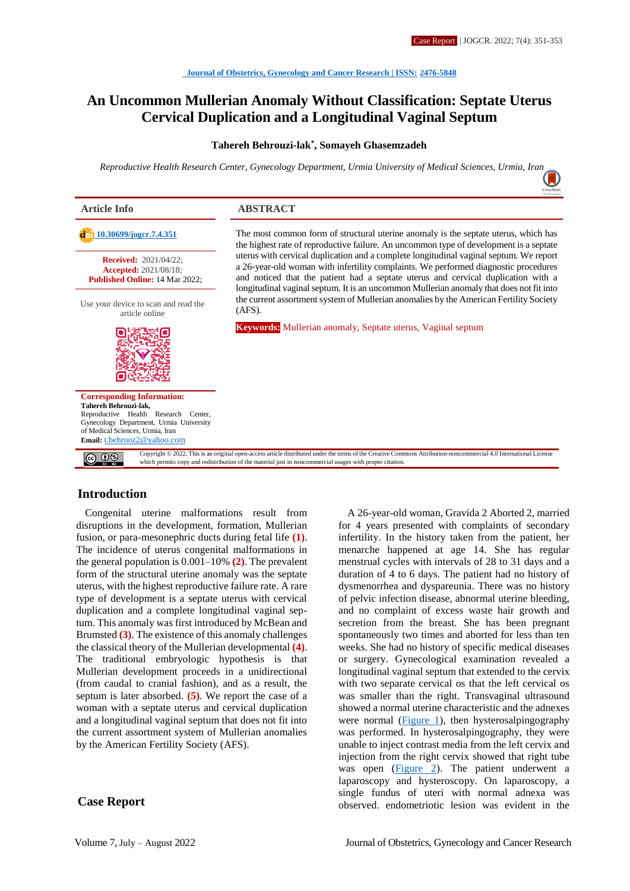# **An Uncommon Mullerian Anomaly Without Classification: Septate Uterus Cervical Duplication and a Longitudinal Vaginal Septum**

#### **Tahereh Behrouzi-lak\* , Somayeh Ghasemzadeh**

*Reproductive Health Research Center, Gynecology Department, Urmia University of Medical Sciences, Urmia, Ira[n](https://crossmark.crossref.org/dialog/?doi=10.30699/jogcr.7.4.351)*



# **Introduction**

Congenital uterine malformations result from disruptions in the development, formation, Mullerian fusion, or para-mesonephric ducts during fetal life **(1)**. The incidence of uterus congenital malformations in the general population is 0.001–10% **(2)**. The prevalent form of the structural uterine anomaly was the septate uterus, with the highest reproductive failure rate. A rare type of development is a septate uterus with cervical duplication and a complete longitudinal vaginal septum. This anomaly was first introduced by McBean and Brumsted **(3)**. The existence of this anomaly challenges the classical theory of the Mullerian developmental **(4)**. The traditional embryologic hypothesis is that Mullerian development proceeds in a unidirectional (from caudal to cranial fashion), and as a result, the septum is later absorbed. **(5)**. We report the case of a woman with a septate uterus and cervical duplication and a longitudinal vaginal septum that does not fit into the current assortment system of Mullerian anomalies by the American Fertility Society (AFS).

#### **Case Report**

A 26-year-old woman, Gravida 2 Aborted 2, married for 4 years presented with complaints of secondary infertility. In the history taken from the patient, her menarche happened at age 14. She has regular menstrual cycles with intervals of 28 to 31 days and a duration of 4 to 6 days. The patient had no history of dysmenorrhea and dyspareunia. There was no history of pelvic infection disease, abnormal uterine bleeding, and no complaint of excess waste hair growth and secretion from the breast. She has been pregnant spontaneously two times and aborted for less than ten weeks. She had no history of specific medical diseases or surgery. Gynecological examination revealed a longitudinal vaginal septum that extended to the cervix with two separate cervical os that the left cervical os was smaller than the right. Transvaginal ultrasound showed a normal uterine characteristic and the adnexes were normal  $(Figure 1)$ , then hysterosalpingography was performed. In hysterosalpingography, they were unable to inject contrast media from the left cervix and injection from the right cervix showed that right tube was open [\(Figure 2\)](#page-1-1). The patient underwent a laparoscopy and hysteroscopy. On laparoscopy, a single fundus of uteri with normal adnexa was observed. endometriotic lesion was evident in the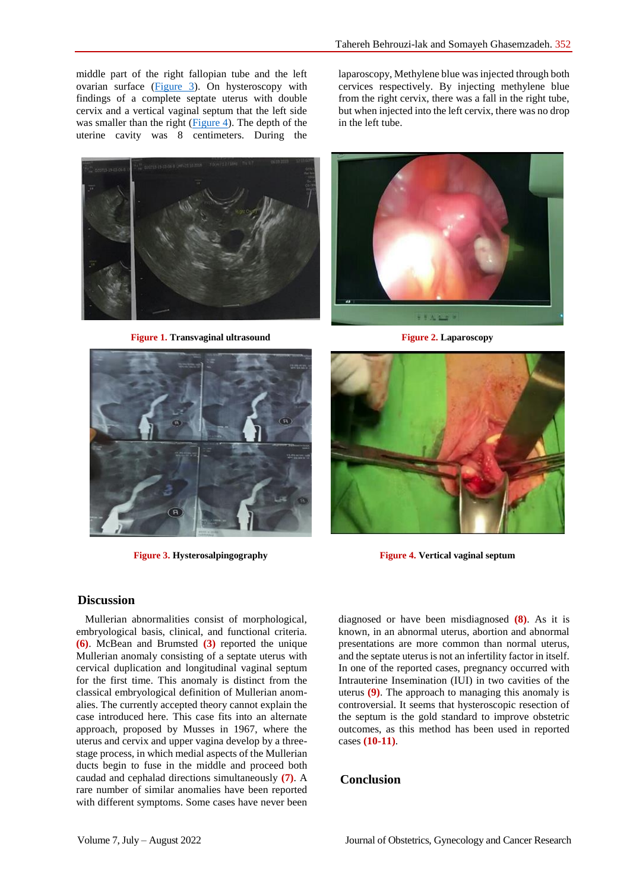middle part of the right fallopian tube and the left ovarian surface [\(Figure 3\)](#page-1-2). On hysteroscopy with findings of a complete septate uterus with double cervix and a vertical vaginal septum that the left side was smaller than the right  $(Figure 4)$ . The depth of the uterine cavity was 8 centimeters. During the



**Figure 1. Transvaginal ultrasound Figure 2. Laparoscopy**

laparoscopy, Methylene blue was injected through both cervices respectively. By injecting methylene blue from the right cervix, there was a fall in the right tube, but when injected into the left cervix, there was no drop in the left tube.

<span id="page-1-1"></span>

<span id="page-1-0"></span>



**Figure 3. Hysterosalpingography Figure 4. Vertical vaginal septum**

# <span id="page-1-2"></span>**Discussion**

Mullerian abnormalities consist of morphological, embryological basis, clinical, and functional criteria. **(6)**. McBean and Brumsted **(3)** reported the unique Mullerian anomaly consisting of a septate uterus with cervical duplication and longitudinal vaginal septum for the first time. This anomaly is distinct from the classical embryological definition of Mullerian anomalies. The currently accepted theory cannot explain the case introduced here. This case fits into an alternate approach, proposed by Musses in 1967, where the uterus and cervix and upper vagina develop by a threestage process, in which medial aspects of the Mullerian ducts begin to fuse in the middle and proceed both caudad and cephalad directions simultaneously **(7)**. A rare number of similar anomalies have been reported with different symptoms. Some cases have never been

<span id="page-1-3"></span>diagnosed or have been misdiagnosed **(8)**. As it is known, in an abnormal uterus, abortion and abnormal presentations are more common than normal uterus, and the septate uterus is not an infertility factor in itself. In one of the reported cases, pregnancy occurred with Intrauterine Insemination (IUI) in two cavities of the uterus **(9)**. The approach to managing this anomaly is controversial. It seems that hysteroscopic resection of the septum is the gold standard to improve obstetric outcomes, as this method has been used in reported cases **(10-11)**.

### **Conclusion**